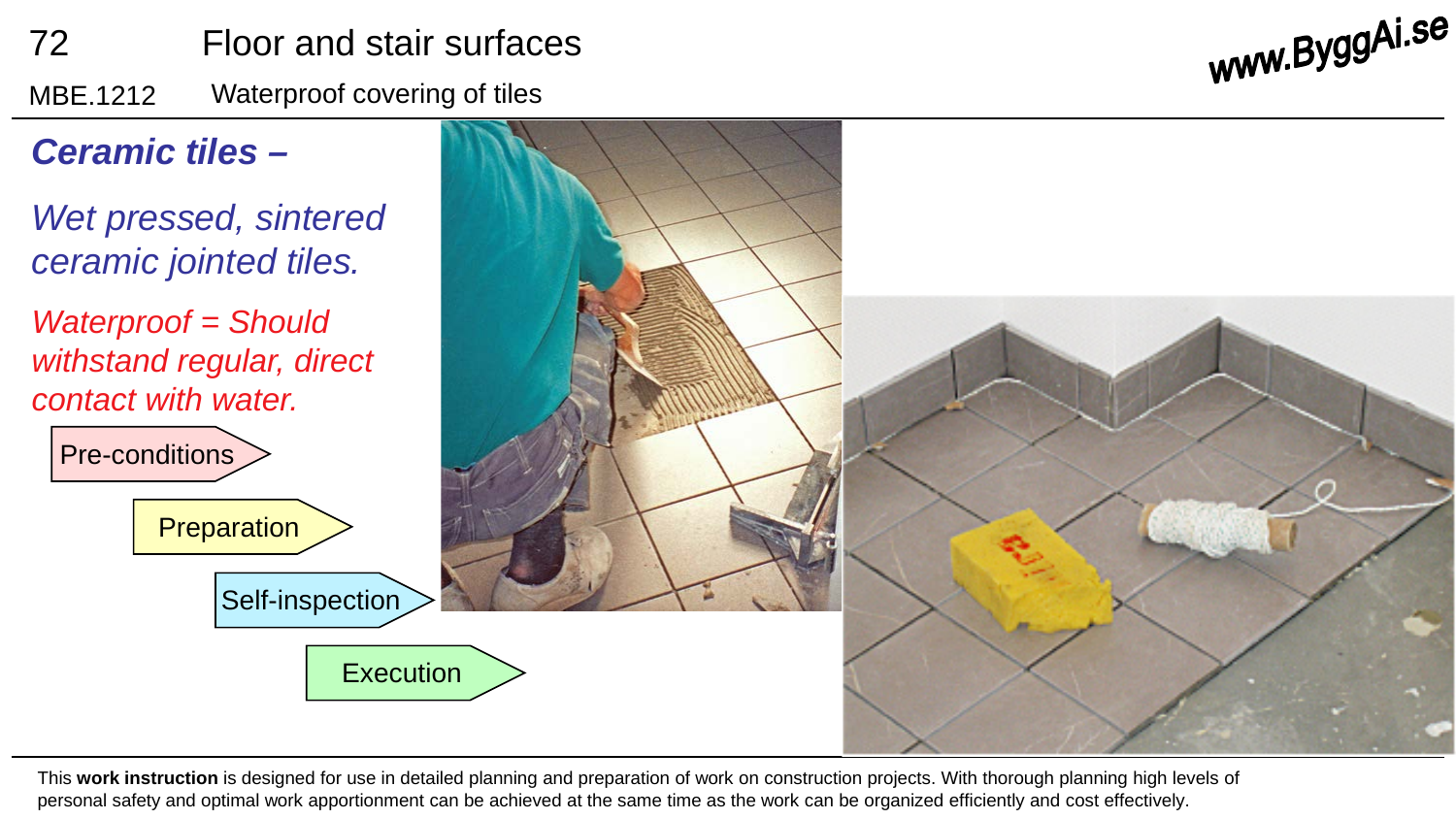## 72 Floor and stair surfaces

MBE.1212 Waterproof covering of tiles

www.ByggAi.se



This **work instruction** is designed for use in detailed planning and preparation of work on construction projects. With thorough planning high levels of personal safety and optimal work apportionment can be achieved at the same time as the work can be organized efficiently and cost effectively.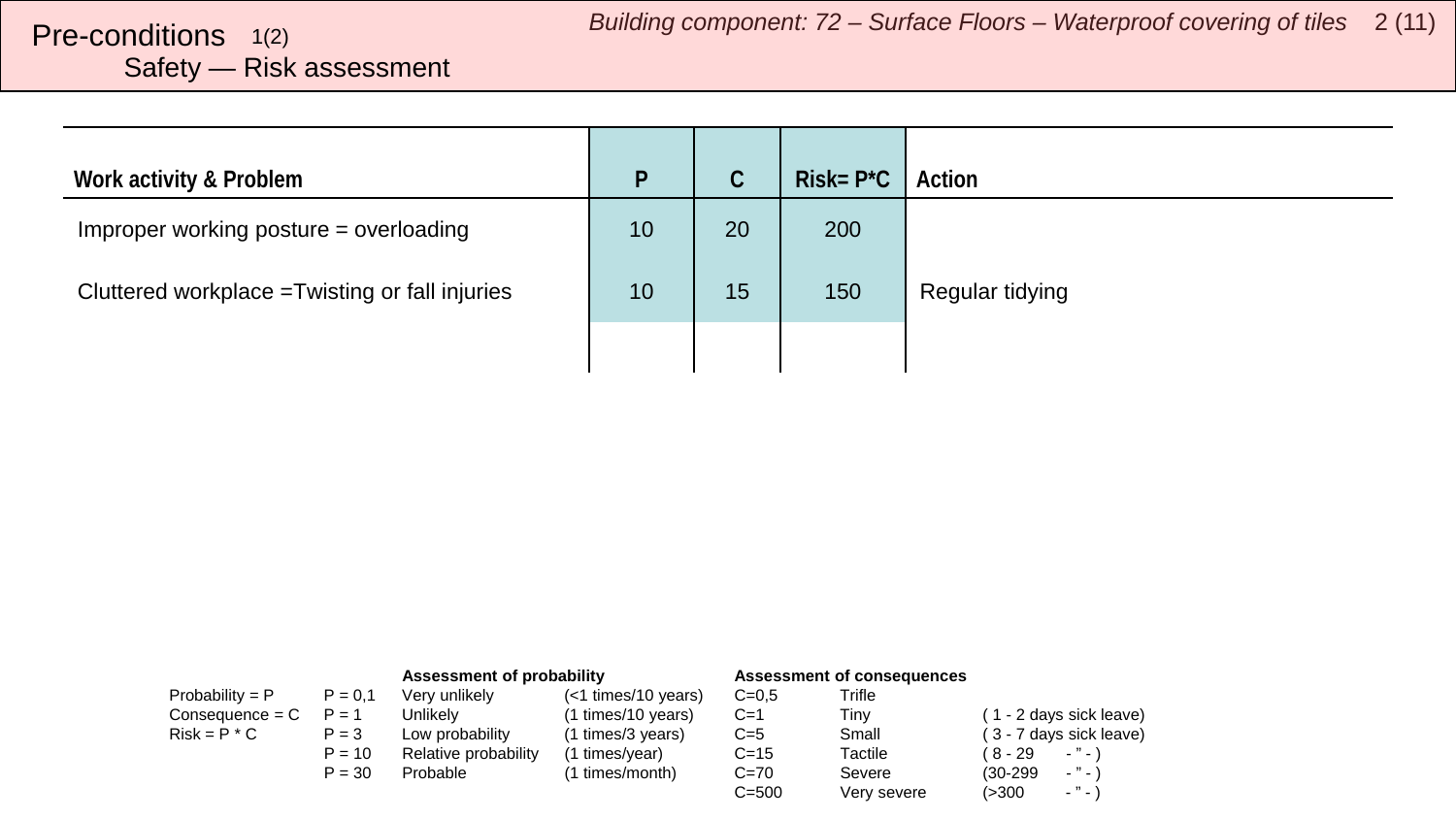## <span id="page-1-0"></span>Safety — Risk assessment

| Work activity & Problem                         | P  | C  | $Risk = P^*C$ | Action          |
|-------------------------------------------------|----|----|---------------|-----------------|
| Improper working posture = overloading          | 10 | 20 | 200           |                 |
| Cluttered workplace = Twisting or fall injuries | 10 | 15 | 150           | Regular tidying |
|                                                 |    |    |               |                 |

|                   |           | Assessment of probability |                       | <b>Assessment of consequences</b> |             |                                        |
|-------------------|-----------|---------------------------|-----------------------|-----------------------------------|-------------|----------------------------------------|
| Probability = $P$ | $P = 0.1$ | Very unlikely             | $(<1$ times/10 years) | $C = 0.5$                         | Trifle      |                                        |
| $Consequence = C$ | $P = 1$   | Unlikelv                  | (1 times/10 years)    | $C=1$                             | Tinv        | (1 - 2 days sick leave)                |
| $Risk = P * C$    | $P = 3$   | Low probability           | (1 times/3 years)     | $C=5$                             | Small       | (3 - 7 days sick leave)                |
|                   | $P = 10$  | Relative probability      | (1 times/year)        | $C = 15$                          | Tactile     | $\cdots$<br>( 8 - 29                   |
|                   | $P = 30$  | Probable                  | (1 times/month)       | $C = 70$                          | Severe      | $\cdots$<br>$(30-299)$                 |
|                   |           |                           |                       | $C = 500$                         | Very severe | $\sim$ $^{10}$ $\sim$ $^{11}$<br>(>300 |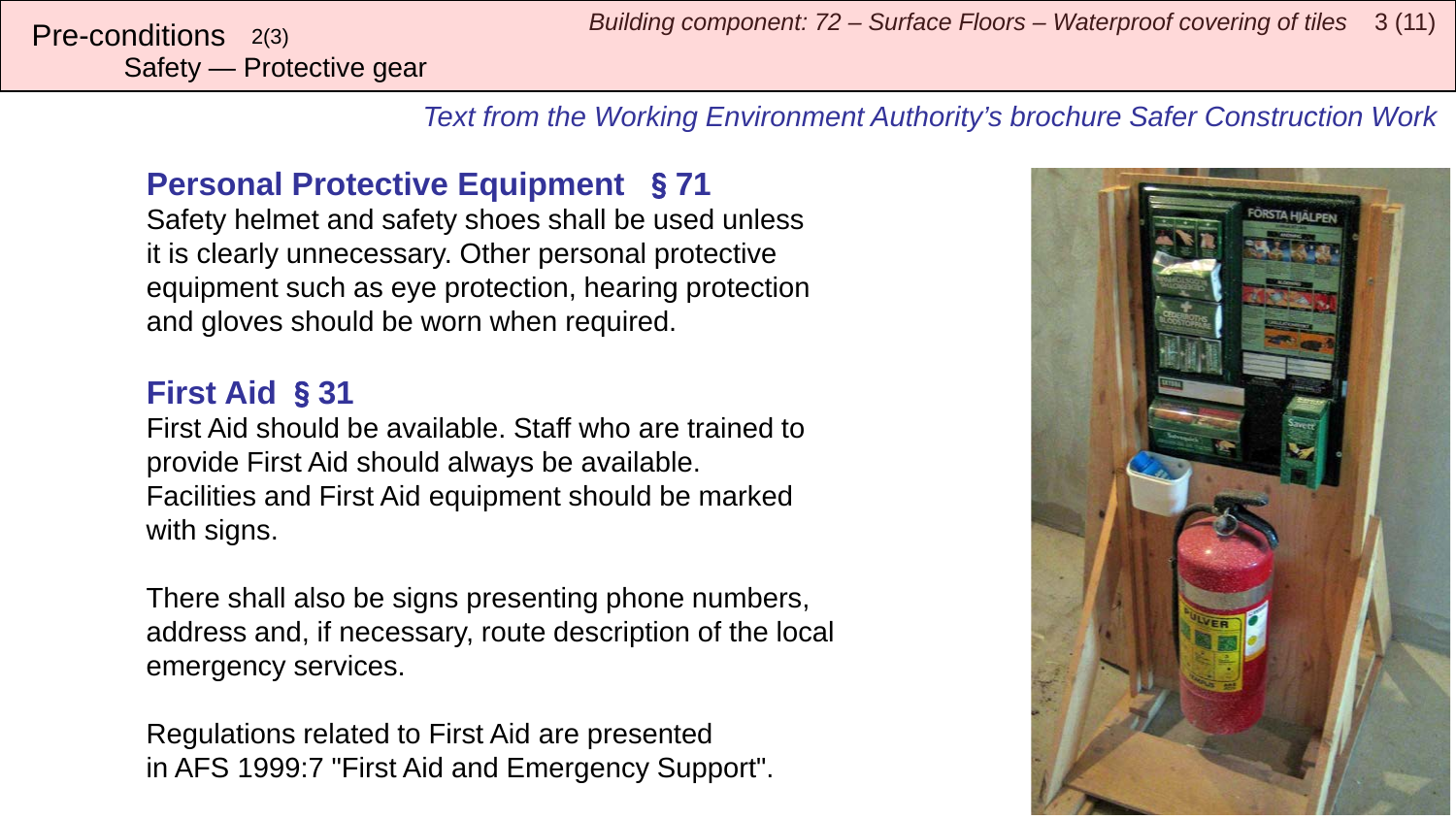Safety — Protective gear

*Text from the Working Environment Authority's brochure Safer Construction Work*

## **Personal Protective Equipment** §**71**

Safety helmet and safety shoes shall be used unless it is clearly unnecessary. Other personal protective equipment such as eye protection, hearing protection and gloves should be worn when required.

## **First Aid** §**31**

First Aid should be available. Staff who are trained to provide First Aid should always be available. Facilities and First Aid equipment should be marked with signs.

There shall also be signs presenting phone numbers, address and, if necessary, route description of the local emergency services.

Regulations related to First Aid are presented in AFS 1999:7 "First Aid and Emergency Support".

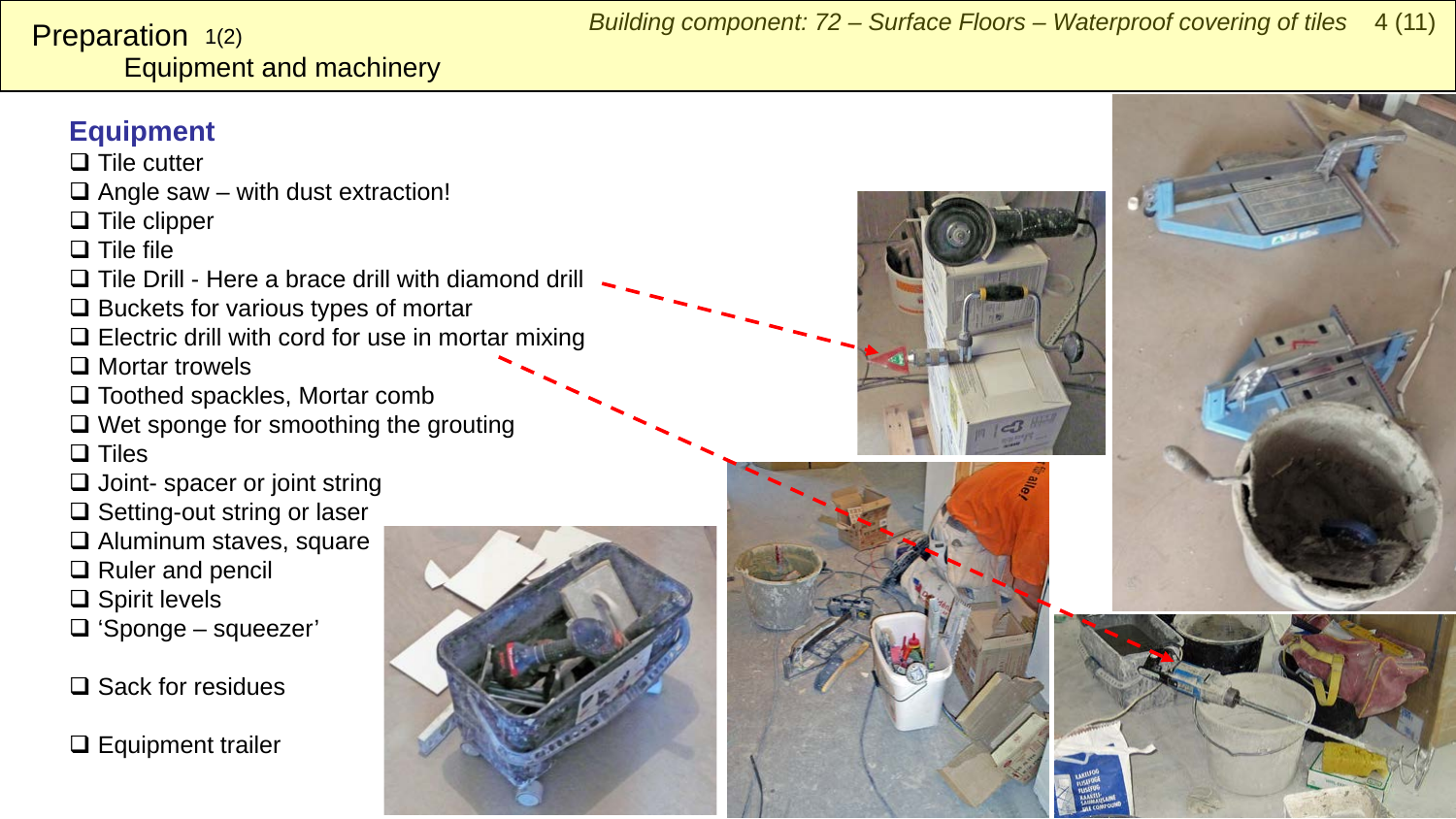#### <span id="page-3-0"></span>Equipment and machinery Preparation 1(2)

### **Equipment**

 $\square$  Tile cutter

 $\Box$  Angle saw – with dust extraction!

 $\Box$  Tile clipper

 $\square$  Tile file

- $\Box$  Tile Drill Here a brace drill with diamond drill
- $\Box$  Buckets for various types of mortar
- $\Box$  Electric drill with cord for use in mortar mixing
- □ Mortar trowels
- □ Toothed spackles, Mortar comb
- $\Box$  Wet sponge for smoothing the grouting  $\square$  Tiles
- 
- $\Box$  Joint- spacer or joint string
- $\Box$  Setting-out string or laser
- □ Aluminum staves, square
- □ Ruler and pencil
- $\square$  Spirit levels
- 'Sponge squeezer'

□ Sack for residues

 $\Box$  Equipment trailer







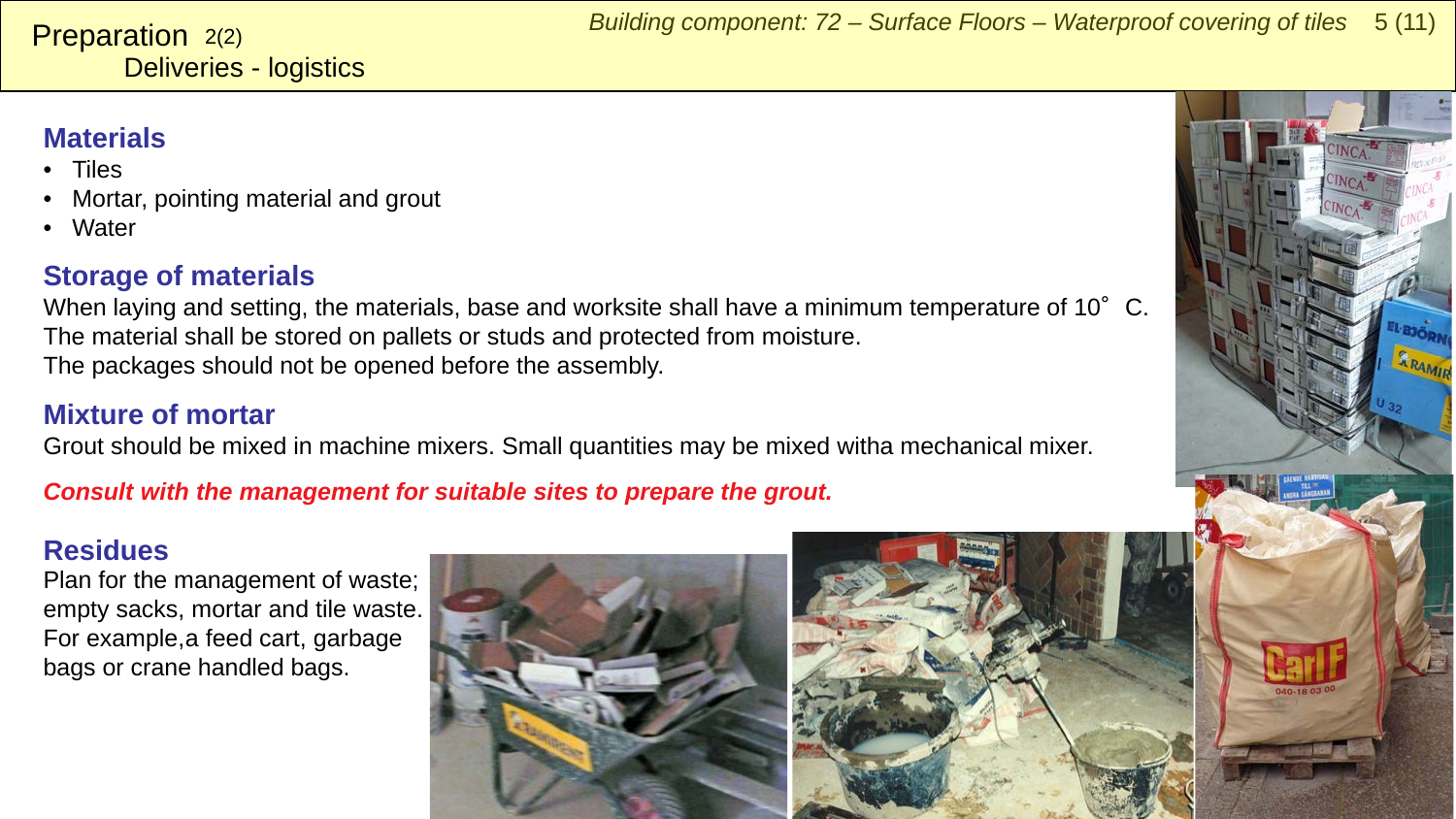## **Materials**

**Preparation**  $2(2)$ 

- Tiles
- Mortar, pointing material and grout

Deliveries - logistics

• Water

### **Storage of materials**

When laying and setting, the materials, base and worksite shall have a minimum temperature of 10°C. The material shall be stored on pallets or studs and protected from moisture. The packages should not be opened before the assembly.

#### **Mixture of mortar**

Grout should be mixed in machine mixers. Small quantities may be mixed witha mechanical mixer.

*Consult with the management for suitable sites to prepare the grout.*

#### **Residues**

Plan for the management of waste; empty sacks, mortar and tile waste. For example, a feed cart, garbage bags or crane handled bags.



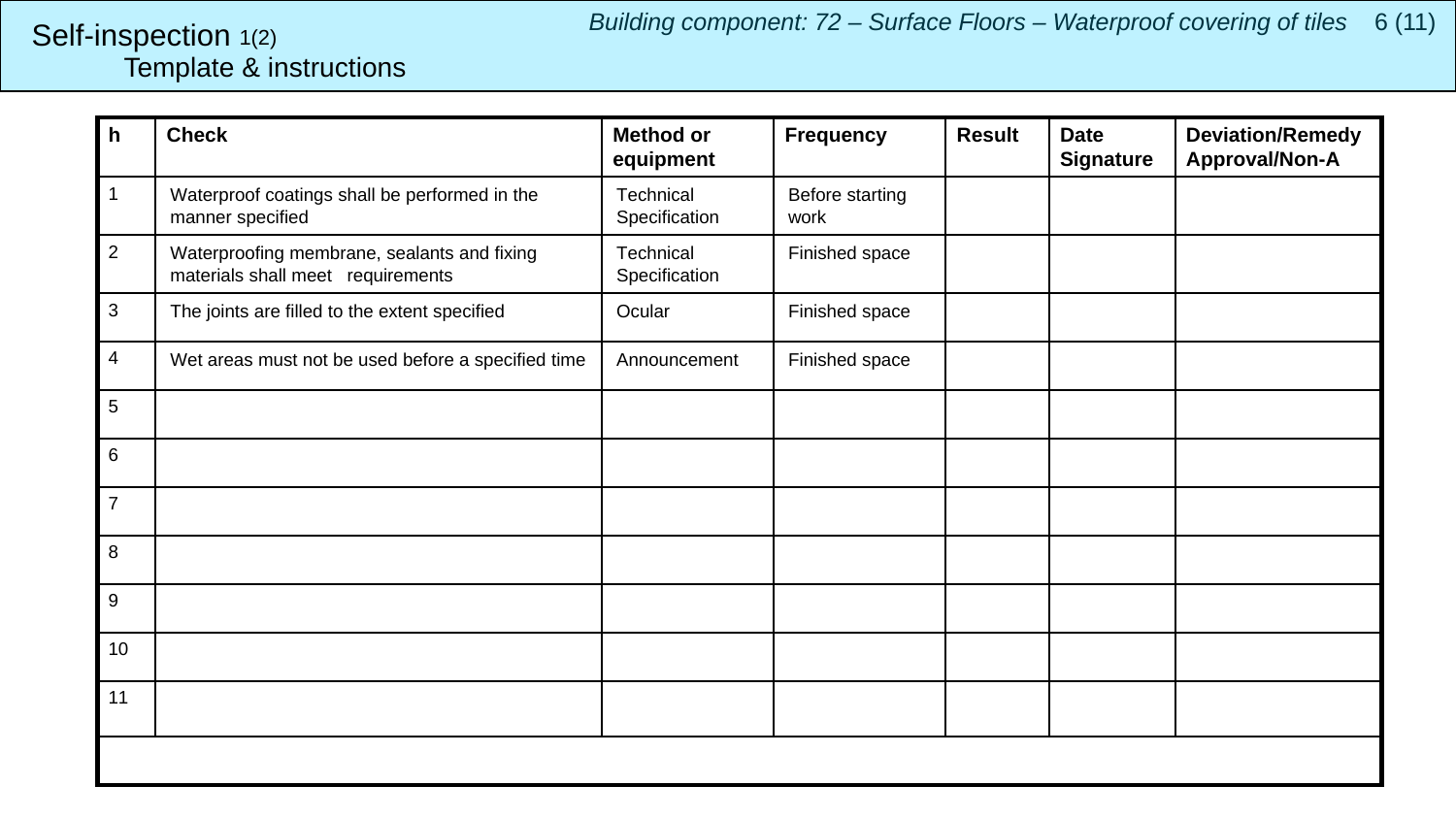## <span id="page-5-0"></span>Template & instructions Self-inspection 1(2)

| h              | <b>Check</b>                                                                     | <b>Method or</b><br>equipment | <b>Frequency</b>        | <b>Result</b> | <b>Date</b><br><b>Signature</b> | <b>Deviation/Remedy</b><br>Approval/Non-A |
|----------------|----------------------------------------------------------------------------------|-------------------------------|-------------------------|---------------|---------------------------------|-------------------------------------------|
| 1              | Waterproof coatings shall be performed in the<br>manner specified                | Technical<br>Specification    | Before starting<br>work |               |                                 |                                           |
| $\overline{2}$ | Waterproofing membrane, sealants and fixing<br>materials shall meet requirements | Technical<br>Specification    | Finished space          |               |                                 |                                           |
| 3              | The joints are filled to the extent specified                                    | Ocular                        | Finished space          |               |                                 |                                           |
| 4              | Wet areas must not be used before a specified time                               | Announcement                  | Finished space          |               |                                 |                                           |
| 5              |                                                                                  |                               |                         |               |                                 |                                           |
| 6              |                                                                                  |                               |                         |               |                                 |                                           |
| $\overline{7}$ |                                                                                  |                               |                         |               |                                 |                                           |
| 8              |                                                                                  |                               |                         |               |                                 |                                           |
| 9              |                                                                                  |                               |                         |               |                                 |                                           |
| 10             |                                                                                  |                               |                         |               |                                 |                                           |
| 11             |                                                                                  |                               |                         |               |                                 |                                           |
|                |                                                                                  |                               |                         |               |                                 |                                           |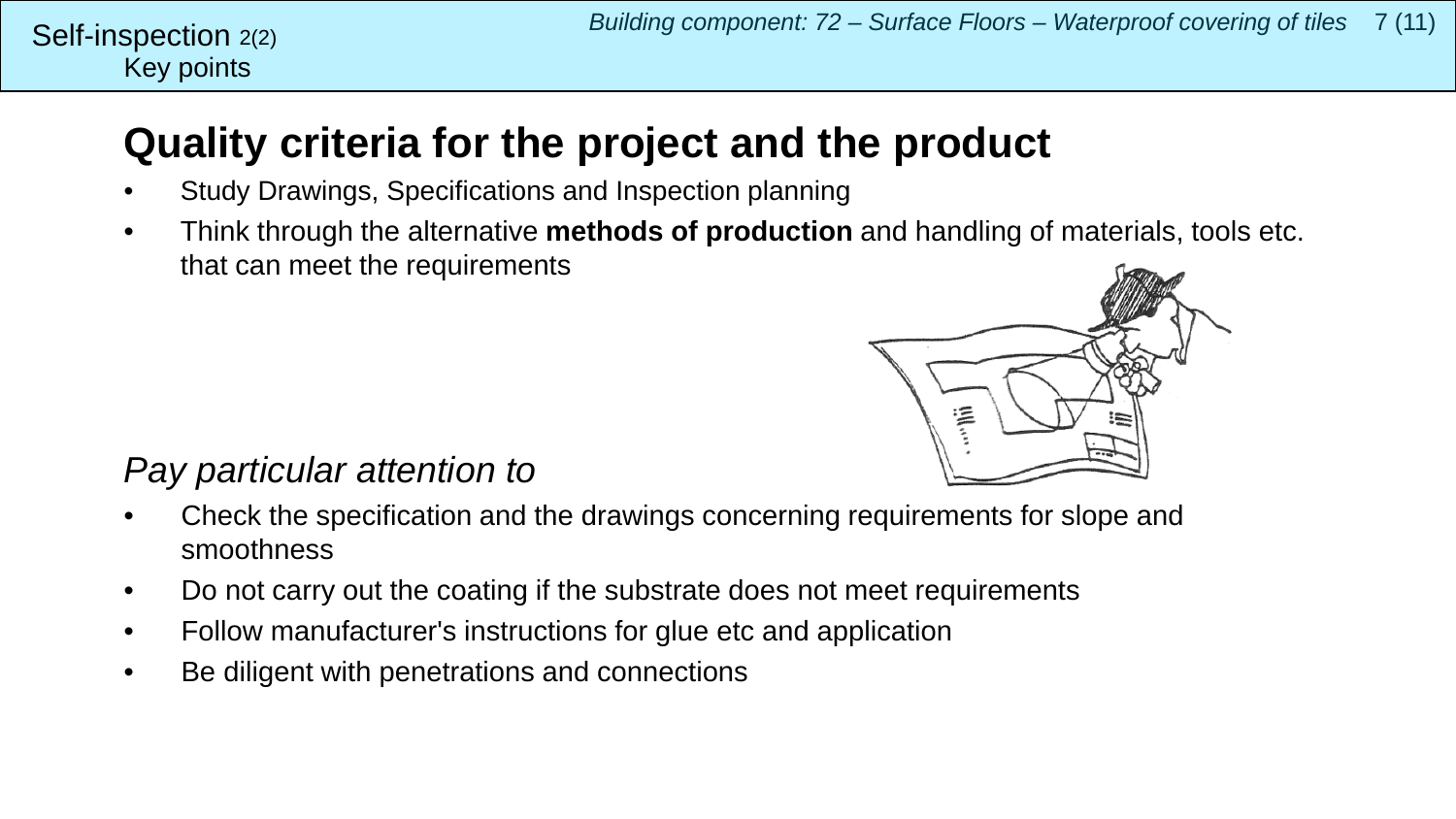## Key points Self-inspection  $2(2)$

## **Quality criteria for the project and the product**

- Study Drawings, Specifications and Inspection planning
- Think through the alternative **methods of production** and handling of materials, tools etc. that can meet the requirements



## *Pay particular attention to*

- Check the specification and the drawings concerning requirements for slope and smoothness
- Do not carry out the coating if the substrate does not meet requirements
- Follow manufacturer's instructions for glue etc and application
- Be diligent with penetrations and connections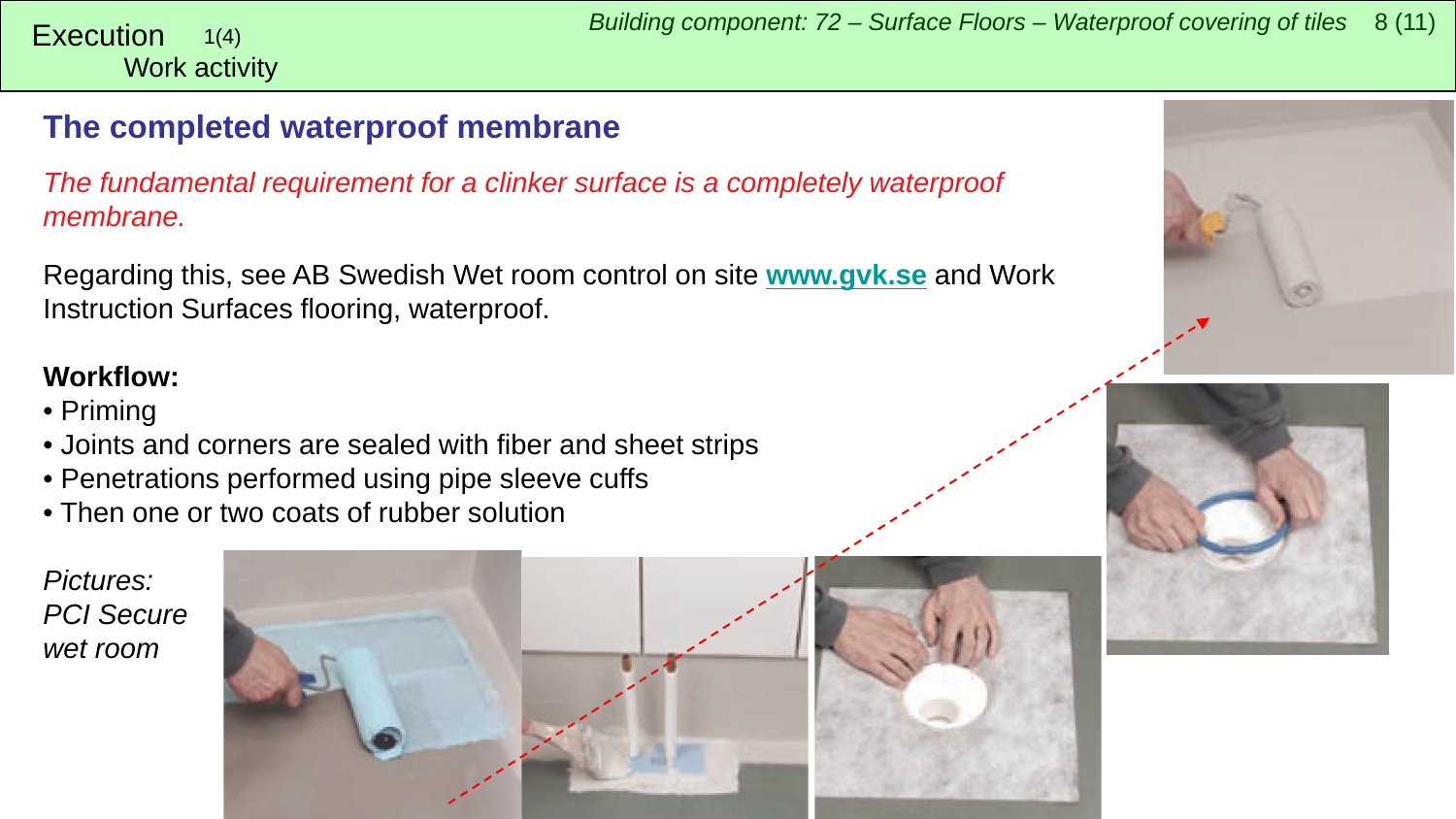## <span id="page-7-0"></span>**The completed waterproof membrane**

*The fundamental requirement for a clinker surface is a completely waterproof membrane.*

Regarding this, see AB Swedish Wet room control on site **[www.gvk.se](http://www.gvk.se/)** and Work Instruction Surfaces flooring, waterproof.

## **Workflow:**

- Priming
- Joints and corners are sealed with fiber and sheet strips
- Penetrations performed using pipe sleeve cuffs
- Then one or two coats of rubber solution

*Pictures: PCI Secure wet room*







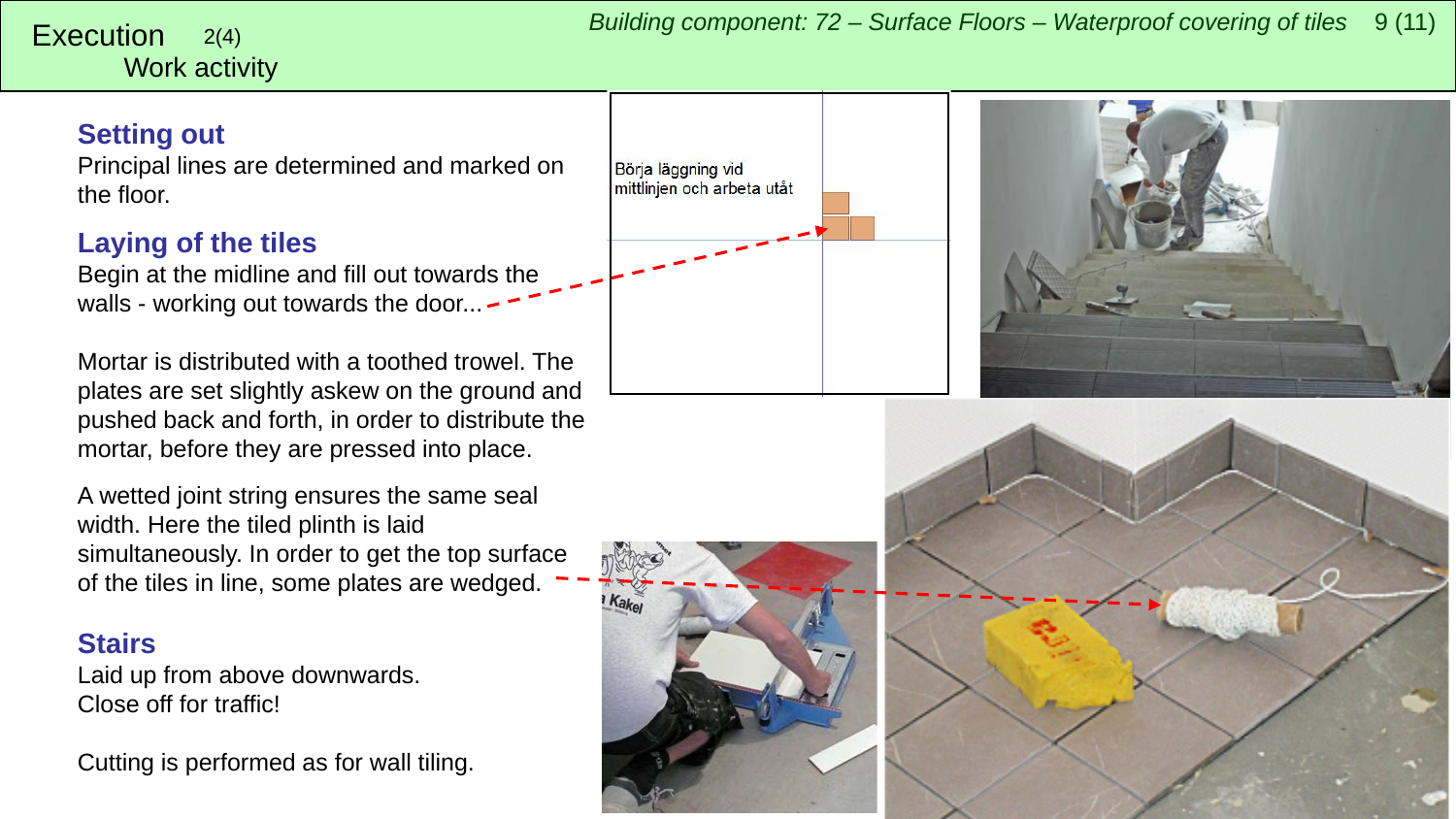## Work activity

### **Setting out**

Principal lines are determined and marked on the floor.

## **Laying of the tiles**

Begin at the midline and fill out towards the walls - working out towards the door... -

Mortar is distributed with a toothed trowel. The plates are set slightly askew on the ground and pushed back and forth, in order to distribute the mortar, before they are pressed into place.

A wetted joint string ensures the same seal width. Here the tiled plinth is laid simultaneously. In order to get the top surface of the tiles in line, some plates are wedged.

### **Stairs**

Laid up from above downwards. Close off for traffic!

Cutting is performed as for wall tiling.







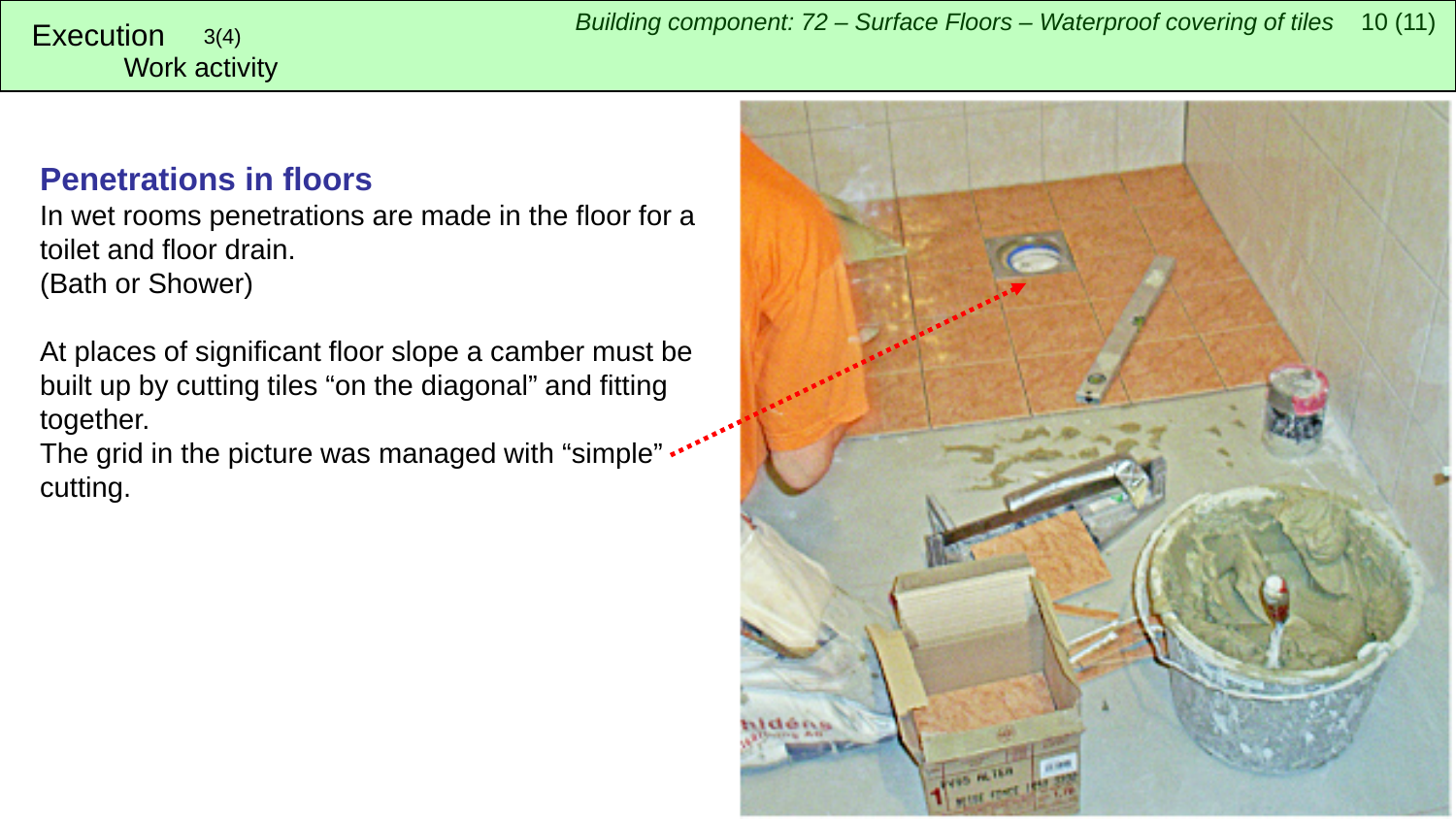# Work activity

## **Penetrations in floors**

In wet rooms penetrations are made in the floor for a toilet and floor drain. (Bath or Shower)

At places of significant floor slope a camber must be built up by cutting tiles "on the diagonal" and fitting together.

The grid in the picture was managed with "simple" .... cutting.